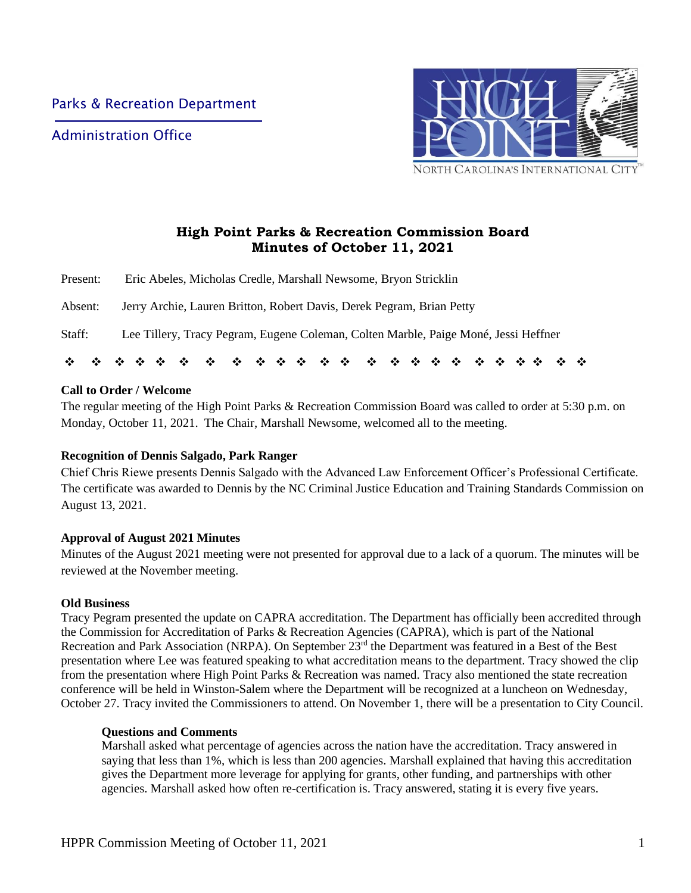Administration Office



# **High Point Parks & Recreation Commission Board Minutes of October 11, 2021**

| $\cdot$  |                                                                                     |
|----------|-------------------------------------------------------------------------------------|
| Staff:   | Lee Tillery, Tracy Pegram, Eugene Coleman, Colten Marble, Paige Moné, Jessi Heffner |
| Absent:  | Jerry Archie, Lauren Britton, Robert Davis, Derek Pegram, Brian Petty               |
| Present: | Eric Abeles, Micholas Credle, Marshall Newsome, Bryon Stricklin                     |

# **Call to Order / Welcome**

The regular meeting of the High Point Parks & Recreation Commission Board was called to order at 5:30 p.m. on Monday, October 11, 2021. The Chair, Marshall Newsome, welcomed all to the meeting.

# **Recognition of Dennis Salgado, Park Ranger**

Chief Chris Riewe presents Dennis Salgado with the Advanced Law Enforcement Officer's Professional Certificate. The certificate was awarded to Dennis by the NC Criminal Justice Education and Training Standards Commission on August 13, 2021.

### **Approval of August 2021 Minutes**

Minutes of the August 2021 meeting were not presented for approval due to a lack of a quorum. The minutes will be reviewed at the November meeting.

### **Old Business**

Tracy Pegram presented the update on CAPRA accreditation. The Department has officially been accredited through the Commission for Accreditation of Parks & Recreation Agencies (CAPRA), which is part of the National Recreation and Park Association (NRPA). On September 23<sup>rd</sup> the Department was featured in a Best of the Best presentation where Lee was featured speaking to what accreditation means to the department. Tracy showed the clip from the presentation where High Point Parks & Recreation was named. Tracy also mentioned the state recreation conference will be held in Winston-Salem where the Department will be recognized at a luncheon on Wednesday, October 27. Tracy invited the Commissioners to attend. On November 1, there will be a presentation to City Council.

### **Questions and Comments**

Marshall asked what percentage of agencies across the nation have the accreditation. Tracy answered in saying that less than 1%, which is less than 200 agencies. Marshall explained that having this accreditation gives the Department more leverage for applying for grants, other funding, and partnerships with other agencies. Marshall asked how often re-certification is. Tracy answered, stating it is every five years.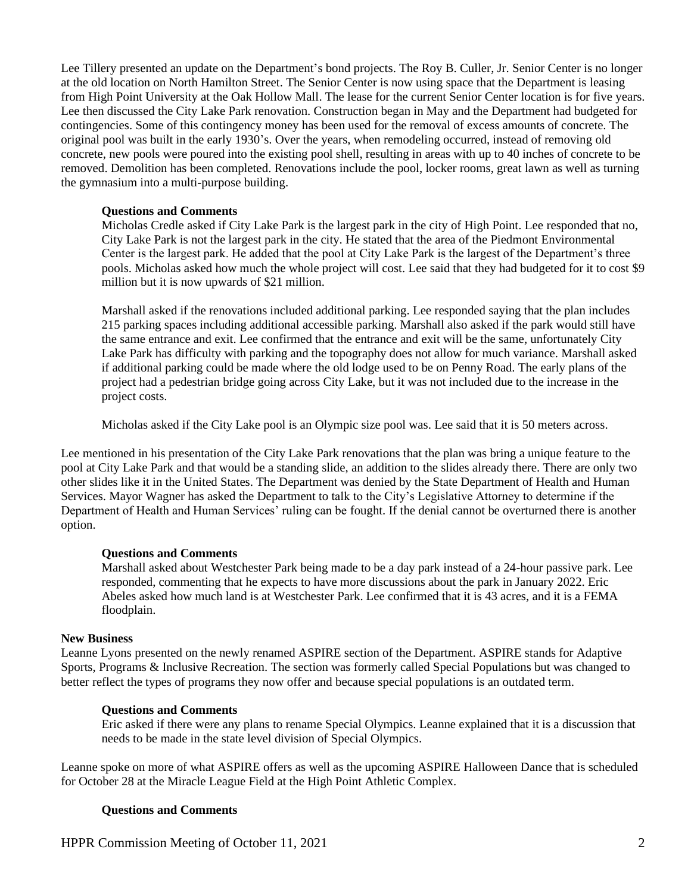Lee Tillery presented an update on the Department's bond projects. The Roy B. Culler, Jr. Senior Center is no longer at the old location on North Hamilton Street. The Senior Center is now using space that the Department is leasing from High Point University at the Oak Hollow Mall. The lease for the current Senior Center location is for five years. Lee then discussed the City Lake Park renovation. Construction began in May and the Department had budgeted for contingencies. Some of this contingency money has been used for the removal of excess amounts of concrete. The original pool was built in the early 1930's. Over the years, when remodeling occurred, instead of removing old concrete, new pools were poured into the existing pool shell, resulting in areas with up to 40 inches of concrete to be removed. Demolition has been completed. Renovations include the pool, locker rooms, great lawn as well as turning the gymnasium into a multi-purpose building.

### **Questions and Comments**

Micholas Credle asked if City Lake Park is the largest park in the city of High Point. Lee responded that no, City Lake Park is not the largest park in the city. He stated that the area of the Piedmont Environmental Center is the largest park. He added that the pool at City Lake Park is the largest of the Department's three pools. Micholas asked how much the whole project will cost. Lee said that they had budgeted for it to cost \$9 million but it is now upwards of \$21 million.

Marshall asked if the renovations included additional parking. Lee responded saying that the plan includes 215 parking spaces including additional accessible parking. Marshall also asked if the park would still have the same entrance and exit. Lee confirmed that the entrance and exit will be the same, unfortunately City Lake Park has difficulty with parking and the topography does not allow for much variance. Marshall asked if additional parking could be made where the old lodge used to be on Penny Road. The early plans of the project had a pedestrian bridge going across City Lake, but it was not included due to the increase in the project costs.

Micholas asked if the City Lake pool is an Olympic size pool was. Lee said that it is 50 meters across.

Lee mentioned in his presentation of the City Lake Park renovations that the plan was bring a unique feature to the pool at City Lake Park and that would be a standing slide, an addition to the slides already there. There are only two other slides like it in the United States. The Department was denied by the State Department of Health and Human Services. Mayor Wagner has asked the Department to talk to the City's Legislative Attorney to determine if the Department of Health and Human Services' ruling can be fought. If the denial cannot be overturned there is another option.

#### **Questions and Comments**

Marshall asked about Westchester Park being made to be a day park instead of a 24-hour passive park. Lee responded, commenting that he expects to have more discussions about the park in January 2022. Eric Abeles asked how much land is at Westchester Park. Lee confirmed that it is 43 acres, and it is a FEMA floodplain.

#### **New Business**

Leanne Lyons presented on the newly renamed ASPIRE section of the Department. ASPIRE stands for Adaptive Sports, Programs & Inclusive Recreation. The section was formerly called Special Populations but was changed to better reflect the types of programs they now offer and because special populations is an outdated term.

#### **Questions and Comments**

Eric asked if there were any plans to rename Special Olympics. Leanne explained that it is a discussion that needs to be made in the state level division of Special Olympics.

Leanne spoke on more of what ASPIRE offers as well as the upcoming ASPIRE Halloween Dance that is scheduled for October 28 at the Miracle League Field at the High Point Athletic Complex.

### **Questions and Comments**

HPPR Commission Meeting of October 11, 2021 2